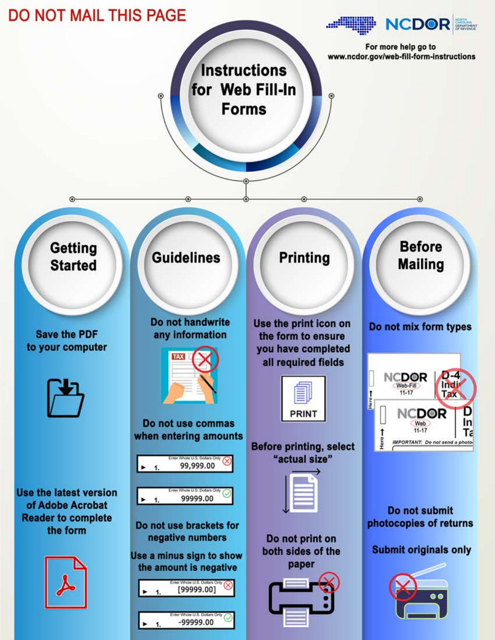